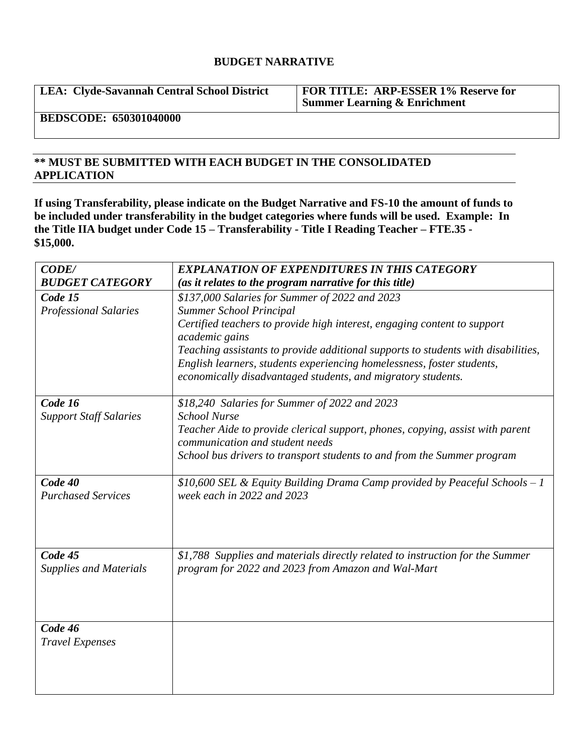## **BUDGET NARRATIVE**

**LEA: Clyde-Savannah Central School District FOR TITLE: ARP-ESSER 1% Reserve for Summer Learning & Enrichment**

**BEDSCODE: 650301040000**

## **\*\* MUST BE SUBMITTED WITH EACH BUDGET IN THE CONSOLIDATED APPLICATION**

**If using Transferability, please indicate on the Budget Narrative and FS-10 the amount of funds to be included under transferability in the budget categories where funds will be used. Example: In the Title IIA budget under Code 15 – Transferability - Title I Reading Teacher – FTE.35 - \$15,000.**

| <b>CODE/</b>                         | <b>EXPLANATION OF EXPENDITURES IN THIS CATEGORY</b>                                                              |
|--------------------------------------|------------------------------------------------------------------------------------------------------------------|
| <b>BUDGET CATEGORY</b>               | (as it relates to the program narrative for this title)                                                          |
| Code 15                              | \$137,000 Salaries for Summer of 2022 and 2023                                                                   |
| <b>Professional Salaries</b>         | <b>Summer School Principal</b>                                                                                   |
|                                      | Certified teachers to provide high interest, engaging content to support<br>academic gains                       |
|                                      | Teaching assistants to provide additional supports to students with disabilities,                                |
|                                      | English learners, students experiencing homelessness, foster students,                                           |
|                                      | economically disadvantaged students, and migratory students.                                                     |
| Code 16                              | \$18,240 Salaries for Summer of 2022 and 2023                                                                    |
| <b>Support Staff Salaries</b>        | <b>School Nurse</b>                                                                                              |
|                                      | Teacher Aide to provide clerical support, phones, copying, assist with parent<br>communication and student needs |
|                                      | School bus drivers to transport students to and from the Summer program                                          |
| Code 40<br><b>Purchased Services</b> | \$10,600 SEL & Equity Building Drama Camp provided by Peaceful Schools $-1$<br>week each in 2022 and 2023        |
| Code 45                              | \$1,788 Supplies and materials directly related to instruction for the Summer                                    |
| <b>Supplies and Materials</b>        | program for 2022 and 2023 from Amazon and Wal-Mart                                                               |
| Code 46                              |                                                                                                                  |
| <b>Travel Expenses</b>               |                                                                                                                  |
|                                      |                                                                                                                  |
|                                      |                                                                                                                  |
|                                      |                                                                                                                  |